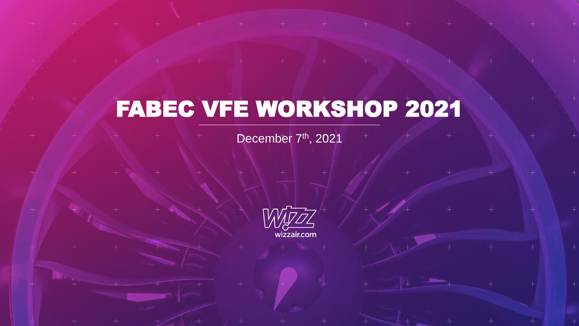# FABEC VFE WORKSHOP 2021

December 7<sup>th</sup>, 2021

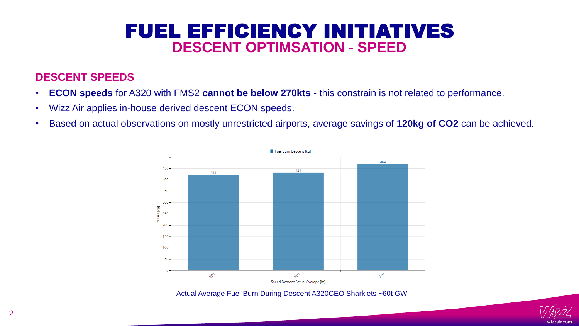## FUEL EFFICIENCY INITIATIVES **DESCENT OPTIMSATION - SPEED**

### **DESCENT SPEEDS**

- **ECON speeds** for A320 with FMS2 **cannot be below 270kts** this constrain is not related to performance.
- Wizz Air applies in-house derived descent ECON speeds.
- Based on actual observations on mostly unrestricted airports, average savings of **120kg of CO2** can be achieved.



Actual Average Fuel Burn During Descent A320CEO Sharklets ~60t GW

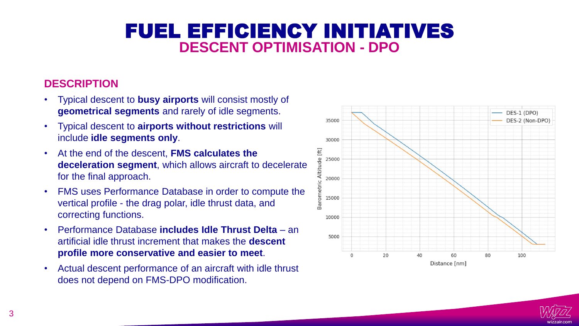# FUEL EFFICIENCY INITIATIVES **DESCENT OPTIMISATION - DPO**

## **DESCRIPTION**

- Typical descent to **busy airports** will consist mostly of **geometrical segments** and rarely of idle segments.
- Typical descent to **airports without restrictions** will include **idle segments only**.
- At the end of the descent, **FMS calculates the deceleration segment**, which allows aircraft to decelerate for the final approach.
- FMS uses Performance Database in order to compute the vertical profile - the drag polar, idle thrust data, and correcting functions.
- Performance Database **includes Idle Thrust Delta**  an artificial idle thrust increment that makes the **descent profile more conservative and easier to meet**.
- Actual descent performance of an aircraft with idle thrust does not depend on FMS-DPO modification.



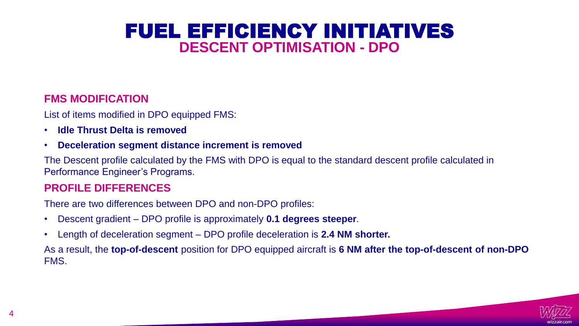## FUEL EFFICIENCY INITIATIVES **DESCENT OPTIMISATION - DPO**

#### **FMS MODIFICATION**

List of items modified in DPO equipped FMS:

- **Idle Thrust Delta is removed**
- **Deceleration segment distance increment is removed**

The Descent profile calculated by the FMS with DPO is equal to the standard descent profile calculated in Performance Engineer's Programs.

#### **PROFILE DIFFERENCES**

There are two differences between DPO and non-DPO profiles:

- Descent gradient DPO profile is approximately **0.1 degrees steeper**.
- Length of deceleration segment DPO profile deceleration is **2.4 NM shorter.**

As a result, the **top-of-descent** position for DPO equipped aircraft is **6 NM after the top-of-descent of non-DPO** FMS.

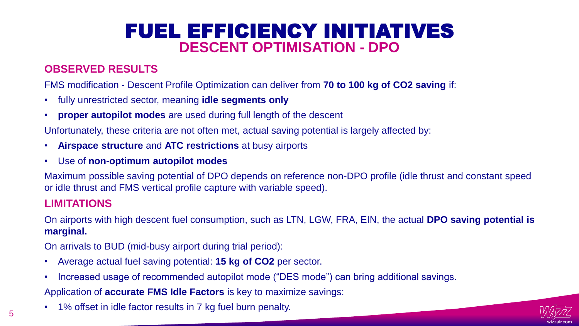# FUEL EFFICIENCY INITIATIVES **DESCENT OPTIMISATION - DPO**

## **OBSERVED RESULTS**

FMS modification - Descent Profile Optimization can deliver from **70 to 100 kg of CO2 saving** if:

- fully unrestricted sector, meaning **idle segments only**
- **proper autopilot modes** are used during full length of the descent

Unfortunately, these criteria are not often met, actual saving potential is largely affected by:

- **Airspace structure** and **ATC restrictions** at busy airports
- Use of **non-optimum autopilot modes**

Maximum possible saving potential of DPO depends on reference non-DPO profile (idle thrust and constant speed or idle thrust and FMS vertical profile capture with variable speed).

#### **LIMITATIONS**

On airports with high descent fuel consumption, such as LTN, LGW, FRA, EIN, the actual **DPO saving potential is marginal.**

On arrivals to BUD (mid-busy airport during trial period):

- Average actual fuel saving potential: **15 kg of CO2** per sector.
- Increased usage of recommended autopilot mode ("DES mode") can bring additional savings.

Application of **accurate FMS Idle Factors** is key to maximize savings:

1% offset in idle factor results in 7 kg fuel burn penalty.